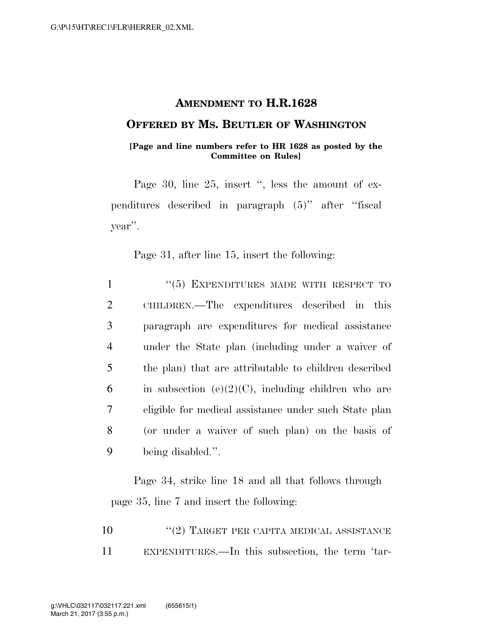## **AMENDMENT TO H.R.1628**

## **OFFERED BY MS. BEUTLER OF WASHINGTON**

## **[Page and line numbers refer to HR 1628 as posted by the Committee on Rules]**

Page 30, line 25, insert ", less the amount of expenditures described in paragraph (5)'' after ''fiscal year''.

Page 31, after line 15, insert the following:

 ''(5) EXPENDITURES MADE WITH RESPECT TO CHILDREN.—The expenditures described in this paragraph are expenditures for medical assistance under the State plan (including under a waiver of the plan) that are attributable to children described 6 in subsection (e)(2)(C), including children who are eligible for medical assistance under such State plan (or under a waiver of such plan) on the basis of being disabled.''.

Page 34, strike line 18 and all that follows through page 35, line 7 and insert the following:

| 10 | $\lq(2)$ TARGET PER CAPITA MEDICAL ASSISTANCE    |
|----|--------------------------------------------------|
| 11 | EXPENDITURES.—In this subsection, the term 'tar- |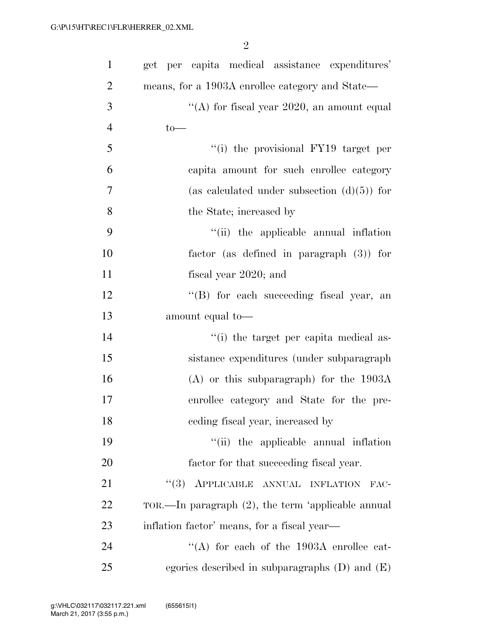| $\mathbf{1}$   | get per capita medical assistance expenditures'       |
|----------------|-------------------------------------------------------|
| $\overline{2}$ | means, for a 1903A enrollee category and State—       |
| 3              | "(A) for fiscal year $2020$ , an amount equal         |
| $\overline{4}$ | $to-$                                                 |
| 5              | "(i) the provisional FY19 target per                  |
| 6              | capita amount for such enrollee category              |
| $\overline{7}$ | (as calculated under subsection $(d)(5)$ ) for        |
| 8              | the State; increased by                               |
| 9              | "(ii) the applicable annual inflation                 |
| 10             | factor (as defined in paragraph $(3)$ ) for           |
| 11             | fiscal year 2020; and                                 |
| 12             | "(B) for each succeeding fiscal year, an              |
| 13             | amount equal to-                                      |
| 14             | "(i) the target per capita medical as-                |
| 15             | sistance expenditures (under subparagraph             |
| 16             | $(A)$ or this subparagraph) for the 1903A             |
| 17             | enrollee category and State for the pre-              |
| 18             | ceding fiscal year, increased by                      |
| 19             | "(ii) the applicable annual inflation                 |
| 20             | factor for that succeeding fiscal year.               |
| 21             | "(3) APPLICABLE ANNUAL INFLATION<br>FAC-              |
| <u>22</u>      | TOR.—In paragraph $(2)$ , the term 'applicable annual |
| 23             | inflation factor' means, for a fiscal year—           |
| 24             | "(A) for each of the $1903A$ enrollee cat-            |
| 25             | egories described in subparagraphs $(D)$ and $(E)$    |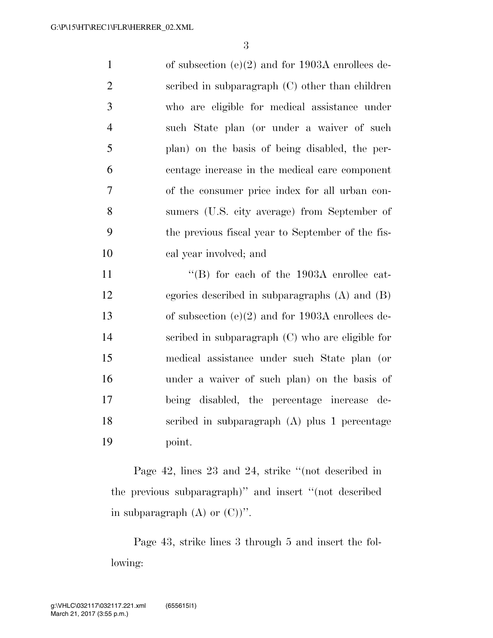of subsection (e)(2) and for 1903A enrollees de- scribed in subparagraph (C) other than children who are eligible for medical assistance under such State plan (or under a waiver of such plan) on the basis of being disabled, the per- centage increase in the medical care component of the consumer price index for all urban con- sumers (U.S. city average) from September of the previous fiscal year to September of the fis- cal year involved; and  $\text{``(B)}$  for each of the 1903A enrollee cat- egories described in subparagraphs (A) and (B) of subsection (e)(2) and for 1903A enrollees de-

 scribed in subparagraph (C) who are eligible for medical assistance under such State plan (or under a waiver of such plan) on the basis of being disabled, the percentage increase de- scribed in subparagraph (A) plus 1 percentage point.

Page 42, lines 23 and 24, strike ''(not described in the previous subparagraph)'' and insert ''(not described in subparagraph  $(A)$  or  $(C)$ )''.

Page 43, strike lines 3 through 5 and insert the following: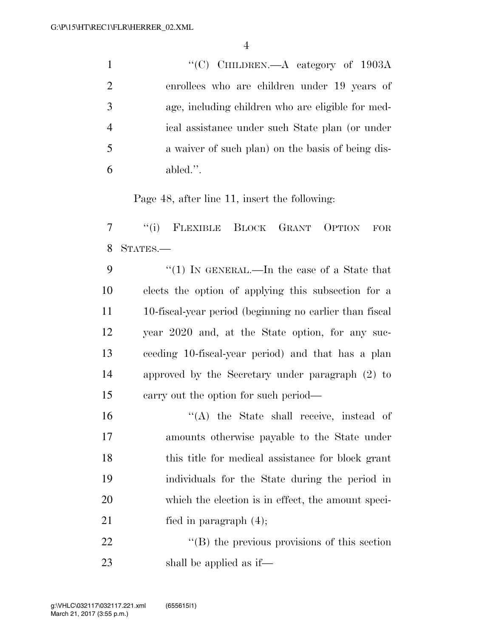|                | "(C) CHILDREN.—A category of $1903A$              |
|----------------|---------------------------------------------------|
|                | enrollees who are children under 19 years of      |
| 3              | age, including children who are eligible for med- |
|                | ical assistance under such State plan (or under   |
| -5             | a waiver of such plan) on the basis of being dis- |
| abled.''.<br>6 |                                                   |

Page 48, after line 11, insert the following:

 ''(i) FLEXIBLE BLOCK GRANT OPTION FOR STATES.—

9 "(1) In GENERAL.—In the case of a State that elects the option of applying this subsection for a 10-fiscal-year period (beginning no earlier than fiscal year 2020 and, at the State option, for any suc- ceeding 10-fiscal-year period) and that has a plan approved by the Secretary under paragraph (2) to carry out the option for such period—

16 ''(A) the State shall receive, instead of amounts otherwise payable to the State under this title for medical assistance for block grant individuals for the State during the period in which the election is in effect, the amount speci-21 fied in paragraph  $(4)$ ;

22 ''(B) the previous provisions of this section shall be applied as if—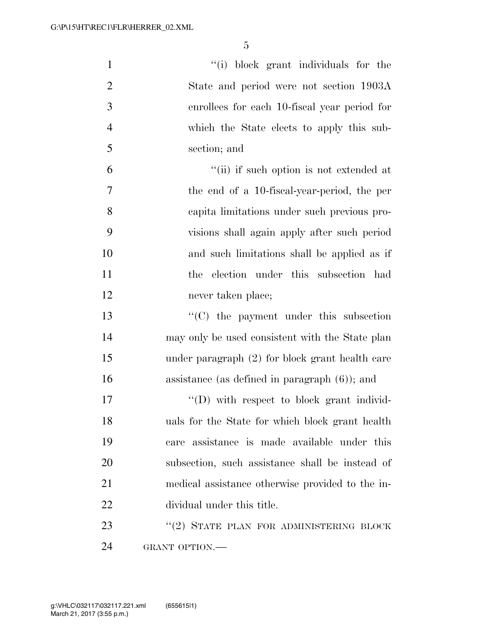| $\mathbf{1}$   | "(i) block grant individuals for the              |
|----------------|---------------------------------------------------|
| $\overline{2}$ | State and period were not section 1903A           |
| 3              | enrollees for each 10-fiscal year period for      |
| $\overline{4}$ | which the State elects to apply this sub-         |
| 5              | section; and                                      |
| 6              | "(ii) if such option is not extended at           |
| 7              | the end of a 10-fiscal-year-period, the per       |
| 8              | capita limitations under such previous pro-       |
| 9              | visions shall again apply after such period       |
| 10             | and such limitations shall be applied as if       |
| 11             | election under this subsection had<br>the         |
| 12             | never taken place;                                |
| 13             | $\cdot$ (C) the payment under this subsection     |
| 14             | may only be used consistent with the State plan   |
| 15             | under paragraph $(2)$ for block grant health care |
| 16             | assistance (as defined in paragraph $(6)$ ); and  |
| 17             | $\lq\lq$ with respect to block grant individ-     |
| 18             | uals for the State for which block grant health   |
| 19             | care assistance is made available under this      |
| 20             | subsection, such assistance shall be instead of   |
| 21             | medical assistance otherwise provided to the in-  |
| 22             | dividual under this title.                        |
| 23             | $``(2)$ STATE PLAN FOR ADMINISTERING BLOCK        |
| 24             | GRANT OPTION.-                                    |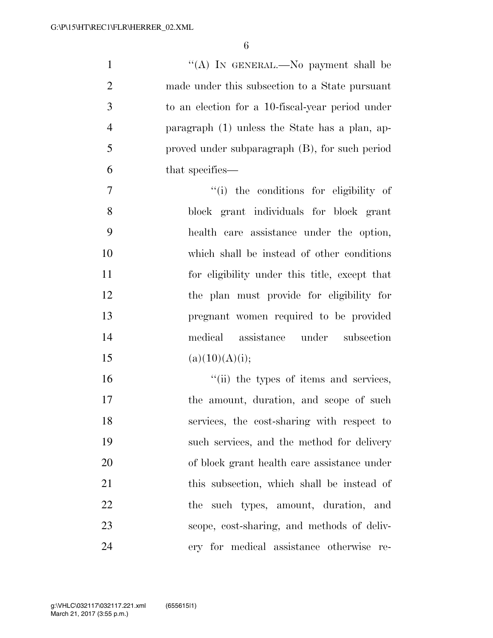| $\mathbf{1}$   | "(A) In GENERAL.—No payment shall be             |
|----------------|--------------------------------------------------|
| $\overline{2}$ | made under this subsection to a State pursuant   |
| $\mathfrak{Z}$ | to an election for a 10-fiscal-year period under |
| $\overline{4}$ | paragraph (1) unless the State has a plan, ap-   |
| 5              | proved under subparagraph (B), for such period   |
| 6              | that specifies—                                  |
| $\tau$         | "(i) the conditions for eligibility of           |
| 8              | block grant individuals for block grant          |
| 9              | health care assistance under the option,         |
| 10             | which shall be instead of other conditions       |
| 11             | for eligibility under this title, except that    |
| 12             | the plan must provide for eligibility for        |
| 13             | pregnant women required to be provided           |
| 14             | medical assistance under subsection              |
| 15             | (a)(10)(A)(i);                                   |
| 16             | "(ii) the types of items and services,           |
| 17             | the amount, duration, and scope of such          |
| 18             | services, the cost-sharing with respect to       |
| 19             | such services, and the method for delivery       |
| 20             | of block grant health care assistance under      |
| 21             | this subsection, which shall be instead of       |
| 22             | the such types, amount, duration, and            |
| 23             | scope, cost-sharing, and methods of deliv-       |
| 24             | ery for medical assistance otherwise<br>re-      |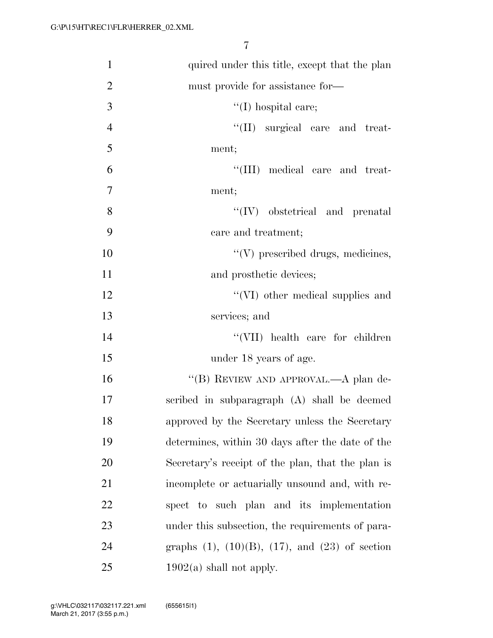| $\mathbf{1}$   | quired under this title, except that the plan             |
|----------------|-----------------------------------------------------------|
| $\overline{2}$ | must provide for assistance for—                          |
| 3              | $\lq(1)$ hospital care;                                   |
| $\overline{4}$ | "(II) surgical care and treat-                            |
| 5              | ment;                                                     |
| 6              | "(III) medical care and treat-                            |
| 7              | ment;                                                     |
| 8              | $\lq\lq (IV)$ obstetrical and prenatal                    |
| 9              | care and treatment;                                       |
| 10             | $\lq\lq(V)$ prescribed drugs, medicines,                  |
| 11             | and prosthetic devices;                                   |
| 12             | "(VI) other medical supplies and                          |
| 13             | services; and                                             |
| 14             | "(VII) health care for children                           |
| 15             | under 18 years of age.                                    |
| 16             | "(B) REVIEW AND APPROVAL.—A plan de-                      |
| 17             | scribed in subparagraph (A) shall be deemed               |
| 18             | approved by the Secretary unless the Secretary            |
| 19             | determines, within 30 days after the date of the          |
| <b>20</b>      | Secretary's receipt of the plan, that the plan is         |
| 21             | incomplete or actuarially unsound and, with re-           |
| <u>22</u>      | spect to such plan and its implementation                 |
| 23             | under this subsection, the requirements of para-          |
| 24             | graphs $(1)$ , $(10)(B)$ , $(17)$ , and $(23)$ of section |
| 25             | $1902(a)$ shall not apply.                                |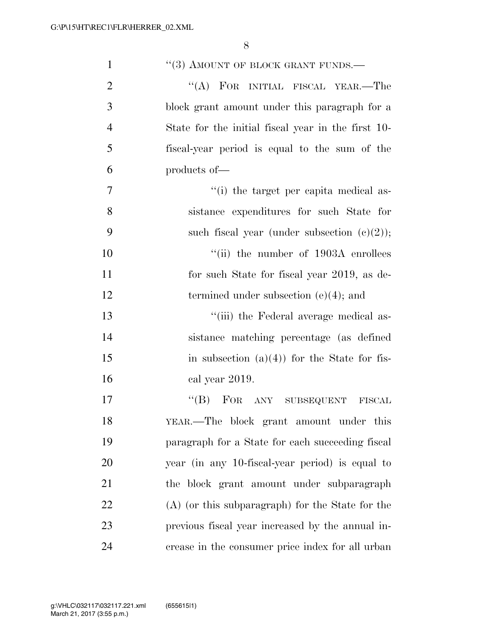| $\mathbf{1}$   | $``(3)$ AMOUNT OF BLOCK GRANT FUNDS.—              |
|----------------|----------------------------------------------------|
| $\overline{2}$ | "(A) FOR INITIAL FISCAL YEAR.—The                  |
| 3              | block grant amount under this paragraph for a      |
| $\overline{4}$ | State for the initial fiscal year in the first 10- |
| 5              | fiscal-year period is equal to the sum of the      |
| 6              | products of-                                       |
| 7              | "(i) the target per capita medical as-             |
| 8              | sistance expenditures for such State for           |
| 9              | such fiscal year (under subsection $(e)(2)$ );     |
| 10             | "(ii) the number of $1903A$ enrollees              |
| 11             | for such State for fiscal year 2019, as de-        |
| 12             | termined under subsection $(e)(4)$ ; and           |
| 13             | "(iii) the Federal average medical as-             |
| 14             | sistance matching percentage (as defined           |
| 15             | in subsection $(a)(4)$ for the State for fis-      |
| 16             | cal year 2019.                                     |
| 17             | "(B) FOR ANY SUBSEQUENT FISCAL                     |
| 18             | YEAR.—The block grant amount under this            |
| 19             | paragraph for a State for each succeeding fiscal   |
| 20             | year (in any 10-fiscal-year period) is equal to    |
| 21             | the block grant amount under subparagraph          |
| 22             | $(A)$ (or this subparagraph) for the State for the |
| 23             | previous fiscal year increased by the annual in-   |
| 24             | crease in the consumer price index for all urban   |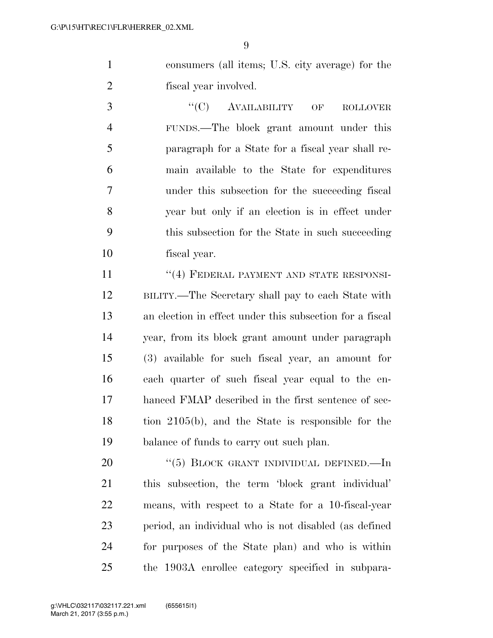consumers (all items; U.S. city average) for the fiscal year involved.

3 "(C) AVAILABILITY OF ROLLOVER FUNDS.—The block grant amount under this paragraph for a State for a fiscal year shall re- main available to the State for expenditures under this subsection for the succeeding fiscal year but only if an election is in effect under this subsection for the State in such succeeding fiscal year.

11 ''(4) FEDERAL PAYMENT AND STATE RESPONSI- BILITY.—The Secretary shall pay to each State with an election in effect under this subsection for a fiscal year, from its block grant amount under paragraph (3) available for such fiscal year, an amount for each quarter of such fiscal year equal to the en- hanced FMAP described in the first sentence of sec- tion 2105(b), and the State is responsible for the balance of funds to carry out such plan.

20 "(5) BLOCK GRANT INDIVIDUAL DEFINED.—In this subsection, the term 'block grant individual' means, with respect to a State for a 10-fiscal-year period, an individual who is not disabled (as defined for purposes of the State plan) and who is within the 1903A enrollee category specified in subpara